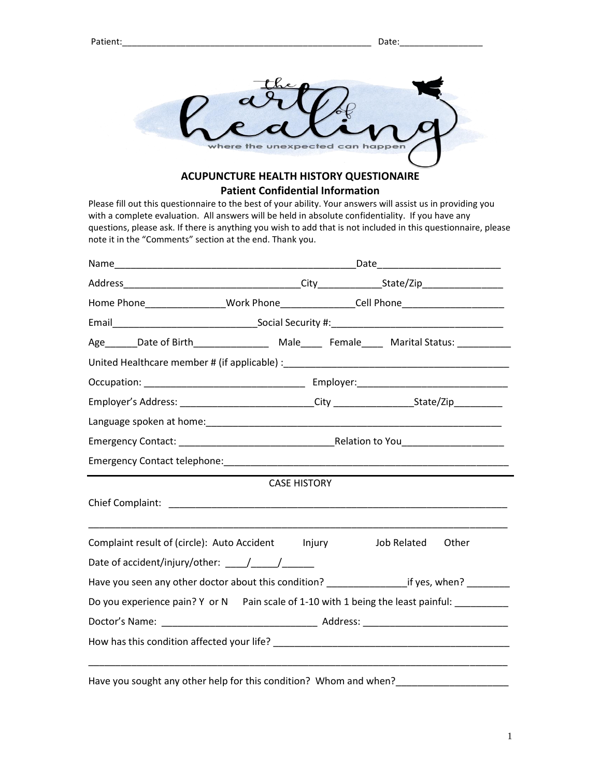

## **ACUPUNCTURE HEALTH HISTORY QUESTIONAIRE Patient Confidential Information**

Please fill out this questionnaire to the best of your ability. Your answers will assist us in providing you with a complete evaluation. All answers will be held in absolute confidentiality. If you have any questions, please ask. If there is anything you wish to add that is not included in this questionnaire, please note it in the "Comments" section at the end. Thank you.

| Home Phone__________________Work Phone________________Cell Phone________________                     |                     |  |                                                                                                |  |  |
|------------------------------------------------------------------------------------------------------|---------------------|--|------------------------------------------------------------------------------------------------|--|--|
|                                                                                                      |                     |  |                                                                                                |  |  |
|                                                                                                      |                     |  |                                                                                                |  |  |
|                                                                                                      |                     |  |                                                                                                |  |  |
|                                                                                                      |                     |  |                                                                                                |  |  |
| Employer's Address: _____________________________City __________________________State/Zip___________ |                     |  |                                                                                                |  |  |
|                                                                                                      |                     |  |                                                                                                |  |  |
|                                                                                                      |                     |  |                                                                                                |  |  |
|                                                                                                      |                     |  |                                                                                                |  |  |
|                                                                                                      | <b>CASE HISTORY</b> |  |                                                                                                |  |  |
|                                                                                                      |                     |  |                                                                                                |  |  |
|                                                                                                      |                     |  |                                                                                                |  |  |
| Complaint result of (circle): Auto Accident lnjury                                                   |                     |  | Job Related Other                                                                              |  |  |
|                                                                                                      |                     |  |                                                                                                |  |  |
|                                                                                                      |                     |  | Have you seen any other doctor about this condition? ___________________if yes, when? ________ |  |  |
|                                                                                                      |                     |  |                                                                                                |  |  |
| Do you experience pain? Y or N Pain scale of 1-10 with 1 being the least painful: _________          |                     |  |                                                                                                |  |  |
|                                                                                                      |                     |  |                                                                                                |  |  |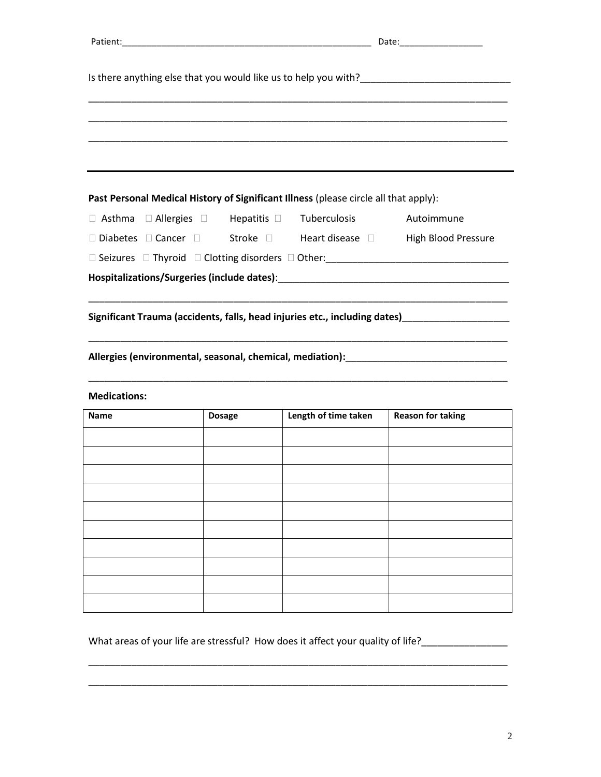|                     |               | Past Personal Medical History of Significant Illness (please circle all that apply): |                                                                                                          |
|---------------------|---------------|--------------------------------------------------------------------------------------|----------------------------------------------------------------------------------------------------------|
| $\Box$ Asthma       |               | $\Box$ Allergies $\Box$ Hepatitis $\Box$ Tuberculosis                                | Autoimmune                                                                                               |
|                     |               | $\Box$ Diabetes $\Box$ Cancer $\Box$ Stroke $\Box$ Heart disease $\Box$              | <b>High Blood Pressure</b>                                                                               |
|                     |               |                                                                                      | □ Seizures □ Thyroid □ Clotting disorders □ Other:<br>□ Seizures □ Thyroid □ Clotting disorders □ Other: |
|                     |               |                                                                                      |                                                                                                          |
|                     |               |                                                                                      |                                                                                                          |
| <b>Medications:</b> |               |                                                                                      |                                                                                                          |
| <b>Name</b>         | <b>Dosage</b> | Length of time taken                                                                 | <b>Reason for taking</b>                                                                                 |
|                     |               |                                                                                      |                                                                                                          |
|                     |               |                                                                                      |                                                                                                          |
|                     |               |                                                                                      |                                                                                                          |
|                     |               |                                                                                      |                                                                                                          |
|                     |               |                                                                                      |                                                                                                          |
|                     |               |                                                                                      |                                                                                                          |
|                     |               |                                                                                      |                                                                                                          |
|                     |               |                                                                                      |                                                                                                          |
|                     |               |                                                                                      |                                                                                                          |

What areas of your life are stressful? How does it affect your quality of life?\_\_\_\_\_\_\_\_\_\_\_\_\_\_\_\_\_\_\_\_

\_\_\_\_\_\_\_\_\_\_\_\_\_\_\_\_\_\_\_\_\_\_\_\_\_\_\_\_\_\_\_\_\_\_\_\_\_\_\_\_\_\_\_\_\_\_\_\_\_\_\_\_\_\_\_\_\_\_\_\_\_\_\_\_\_\_\_\_\_\_\_\_\_\_\_\_\_\_

\_\_\_\_\_\_\_\_\_\_\_\_\_\_\_\_\_\_\_\_\_\_\_\_\_\_\_\_\_\_\_\_\_\_\_\_\_\_\_\_\_\_\_\_\_\_\_\_\_\_\_\_\_\_\_\_\_\_\_\_\_\_\_\_\_\_\_\_\_\_\_\_\_\_\_\_\_\_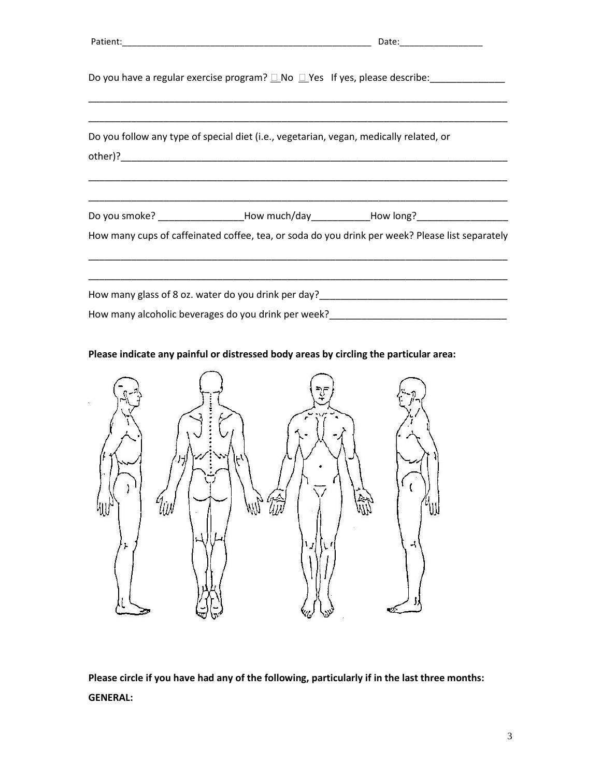|                                                                                        | Do you have a regular exercise program? $\square$ No $\square$ Yes If yes, please describe:<br><u> 1989 - Johann Stoff, deutscher Stoff, der Stoff, der Stoff, der Stoff, der Stoff, der Stoff, der Stoff, der S</u> |  |  |
|----------------------------------------------------------------------------------------|----------------------------------------------------------------------------------------------------------------------------------------------------------------------------------------------------------------------|--|--|
| Do you follow any type of special diet (i.e., vegetarian, vegan, medically related, or |                                                                                                                                                                                                                      |  |  |
|                                                                                        | Do you smoke? _________________How much/day______________How long?______________<br>How many cups of caffeinated coffee, tea, or soda do you drink per week? Please list separately                                  |  |  |
|                                                                                        | How many glass of 8 oz. water do you drink per day? Now many glass of 8 oz.<br>How many alcoholic beverages do you drink per week?_____________________________                                                      |  |  |

**Please indicate any painful or distressed body areas by circling the particular area:**



**Please circle if you have had any of the following, particularly if in the last three months: GENERAL:**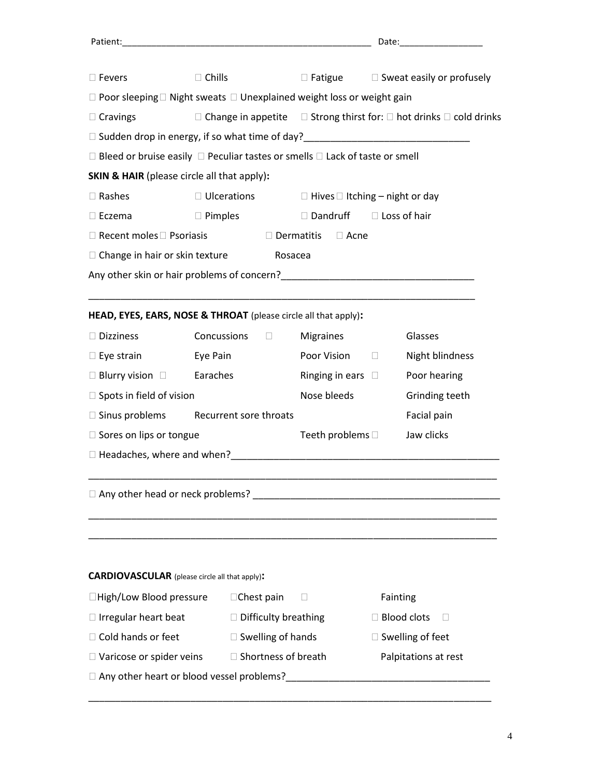| $\Box$ Fevers                                                                                | $\Box$ Chills          |                             | $\Box$ Fatigue $\Box$ Sweat easily or profusely                                                           |
|----------------------------------------------------------------------------------------------|------------------------|-----------------------------|-----------------------------------------------------------------------------------------------------------|
| $\Box$ Poor sleeping $\Box$ Night sweats $\Box$ Unexplained weight loss or weight gain       |                        |                             |                                                                                                           |
| $\Box$ Cravings                                                                              |                        |                             | $\Box$ Change in appetite $\Box$ Strong thirst for: $\Box$ hot drinks $\Box$ cold drinks                  |
|                                                                                              |                        |                             | □ Sudden drop in energy, if so what time of day?<br>□ Sudden drop in energy, if so what time of day?<br>□ |
| $\Box$ Bleed or bruise easily $\Box$ Peculiar tastes or smells $\Box$ Lack of taste or smell |                        |                             |                                                                                                           |
| <b>SKIN &amp; HAIR</b> (please circle all that apply):                                       |                        |                             |                                                                                                           |
| $\Box$ Rashes                                                                                |                        |                             | $\Box$ Ulcerations $\Box$ Hives $\Box$ Itching – night or day                                             |
| $\Box$ Eczema                                                                                | $\Box$ Pimples         | □ Dandruff                  | $\Box$ Loss of hair                                                                                       |
| $\Box$ Recent moles $\Box$ Psoriasis                                                         |                        | $\Box$ Dermatitis           | $\Box$ Acne                                                                                               |
| $\Box$ Change in hair or skin texture                                                        |                        | Rosacea                     |                                                                                                           |
|                                                                                              |                        |                             |                                                                                                           |
|                                                                                              |                        |                             |                                                                                                           |
| HEAD, EYES, EARS, NOSE & THROAT (please circle all that apply):                              |                        |                             |                                                                                                           |
| □ Dizziness                                                                                  | $Concussions$ $\Box$   | Migraines                   | Glasses                                                                                                   |
| $\Box$ Eye strain Eye Pain                                                                   |                        |                             | Poor Vision D<br>Night blindness                                                                          |
| $\Box$ Blurry vision $\Box$ Earaches                                                         |                        |                             | Ringing in ears $\square$<br>Poor hearing                                                                 |
| $\Box$ Spots in field of vision                                                              |                        | Nose bleeds                 | Grinding teeth                                                                                            |
| $\Box$ Sinus problems                                                                        | Recurrent sore throats |                             | Facial pain                                                                                               |
| □ Sores on lips or tongue                                                                    |                        |                             | Jaw clicks<br>Teeth problems $\Box$                                                                       |
|                                                                                              |                        |                             |                                                                                                           |
|                                                                                              |                        |                             |                                                                                                           |
| $\Box$ Any other head or neck problems?                                                      |                        |                             |                                                                                                           |
|                                                                                              |                        |                             |                                                                                                           |
|                                                                                              |                        |                             |                                                                                                           |
|                                                                                              |                        |                             |                                                                                                           |
| <b>CARDIOVASCULAR</b> (please circle all that apply):                                        |                        |                             |                                                                                                           |
| □High/Low Blood pressure                                                                     | $\Box$ Chest pain      | Ш                           | Fainting                                                                                                  |
| $\Box$ Irregular heart beat                                                                  |                        | $\Box$ Difficulty breathing | $\Box$ Blood clots                                                                                        |
| $\Box$ Cold hands or feet                                                                    |                        | $\Box$ Swelling of hands    | $\Box$ Swelling of feet                                                                                   |
| $\Box$ Varicose or spider veins                                                              |                        | $\Box$ Shortness of breath  | Palpitations at rest                                                                                      |
| □ Any other heart or blood vessel problems?                                                  |                        |                             |                                                                                                           |

\_\_\_\_\_\_\_\_\_\_\_\_\_\_\_\_\_\_\_\_\_\_\_\_\_\_\_\_\_\_\_\_\_\_\_\_\_\_\_\_\_\_\_\_\_\_\_\_\_\_\_\_\_\_\_\_\_\_\_\_\_\_\_\_\_\_\_\_\_\_\_\_\_\_\_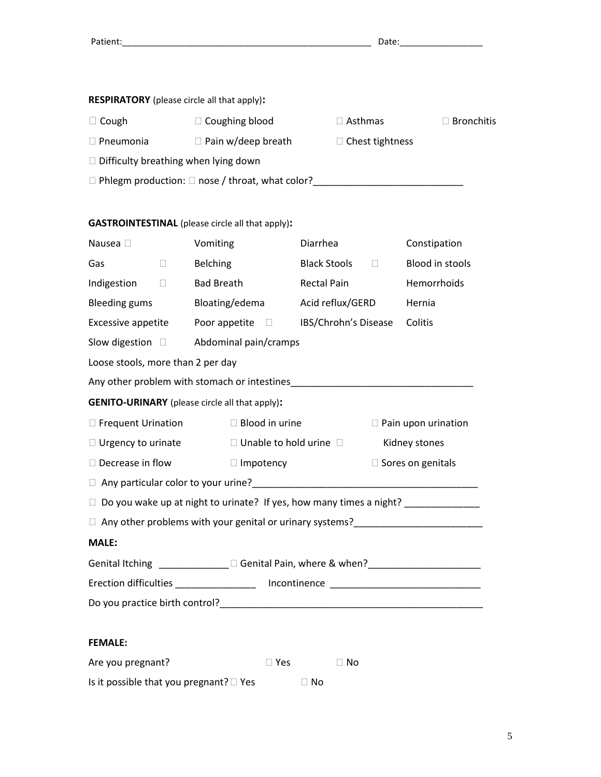| <b>RESPIRATORY</b> (please circle all that apply): |
|----------------------------------------------------|
|                                                    |

| $\Box$ Cough                                | $\Box$ Coughing blood                                       | $\Box$ Asthmas         | $\Box$ Bronchitis |
|---------------------------------------------|-------------------------------------------------------------|------------------------|-------------------|
| $\Box$ Pneumonia                            | $\Box$ Pain w/deep breath                                   | $\Box$ Chest tightness |                   |
| $\Box$ Difficulty breathing when lying down |                                                             |                        |                   |
|                                             | $\Box$ Phlegm production: $\Box$ nose / throat, what color? |                        |                   |
|                                             |                                                             |                        |                   |

## **GASTROINTESTINAL** (please circle all that apply)**:**

| Nausea D                                                                                                                | Vomiting                                                              |                       | Diarrhea             |        | Constipation                                                                     |  |
|-------------------------------------------------------------------------------------------------------------------------|-----------------------------------------------------------------------|-----------------------|----------------------|--------|----------------------------------------------------------------------------------|--|
| Gas<br>$\Box$                                                                                                           | <b>Belching</b>                                                       |                       | <b>Black Stools</b>  | $\Box$ | <b>Blood in stools</b>                                                           |  |
| Indigestion $\square$                                                                                                   | <b>Bad Breath</b>                                                     |                       | <b>Rectal Pain</b>   |        | Hemorrhoids                                                                      |  |
| <b>Bleeding gums</b>                                                                                                    |                                                                       | Bloating/edema        | Acid reflux/GERD     |        | Hernia                                                                           |  |
| Excessive appetite $\qquad$ Poor appetite $\qquad \Box$                                                                 |                                                                       |                       | IBS/Chrohn's Disease |        | Colitis                                                                          |  |
| Slow digestion $\square$ Abdominal pain/cramps                                                                          |                                                                       |                       |                      |        |                                                                                  |  |
| Loose stools, more than 2 per day                                                                                       |                                                                       |                       |                      |        |                                                                                  |  |
| Any other problem with stomach or intestines<br>Many other problem with stomach or intestines                           |                                                                       |                       |                      |        |                                                                                  |  |
| <b>GENITO-URINARY</b> (please circle all that apply):                                                                   |                                                                       |                       |                      |        |                                                                                  |  |
| □ Frequent Urination                                                                                                    |                                                                       | $\Box$ Blood in urine |                      |        | $\Box$ Pain upon urination                                                       |  |
| $\Box$ Unable to hold urine $\Box$<br>$\Box$ Urgency to urinate<br>Kidney stones                                        |                                                                       |                       |                      |        |                                                                                  |  |
|                                                                                                                         | $\Box$ Decrease in flow<br>$\square$ Sores on genitals<br>□ Impotency |                       |                      |        |                                                                                  |  |
| □ Any particular color to your urine?<br>□ Any particular color to your urine?<br>□ Any particular color to your urine? |                                                                       |                       |                      |        |                                                                                  |  |
|                                                                                                                         |                                                                       |                       |                      |        |                                                                                  |  |
| Do you wake up at night to urinate? If yes, how many times a night? ____________<br>$\Box$                              |                                                                       |                       |                      |        |                                                                                  |  |
|                                                                                                                         |                                                                       |                       |                      |        | Any other problems with your genital or urinary systems?________________________ |  |
| <b>MALE:</b>                                                                                                            |                                                                       |                       |                      |        |                                                                                  |  |
|                                                                                                                         |                                                                       |                       |                      |        |                                                                                  |  |
| Erection difficulties _____________________ Incontinence ________________________                                       |                                                                       |                       |                      |        |                                                                                  |  |
|                                                                                                                         |                                                                       |                       |                      |        |                                                                                  |  |
|                                                                                                                         |                                                                       |                       |                      |        |                                                                                  |  |
| <b>FEMALE:</b>                                                                                                          |                                                                       |                       |                      |        |                                                                                  |  |

| Is it possible that you pregnant? $\square$ Yes | $\Box$ No |
|-------------------------------------------------|-----------|
|-------------------------------------------------|-----------|